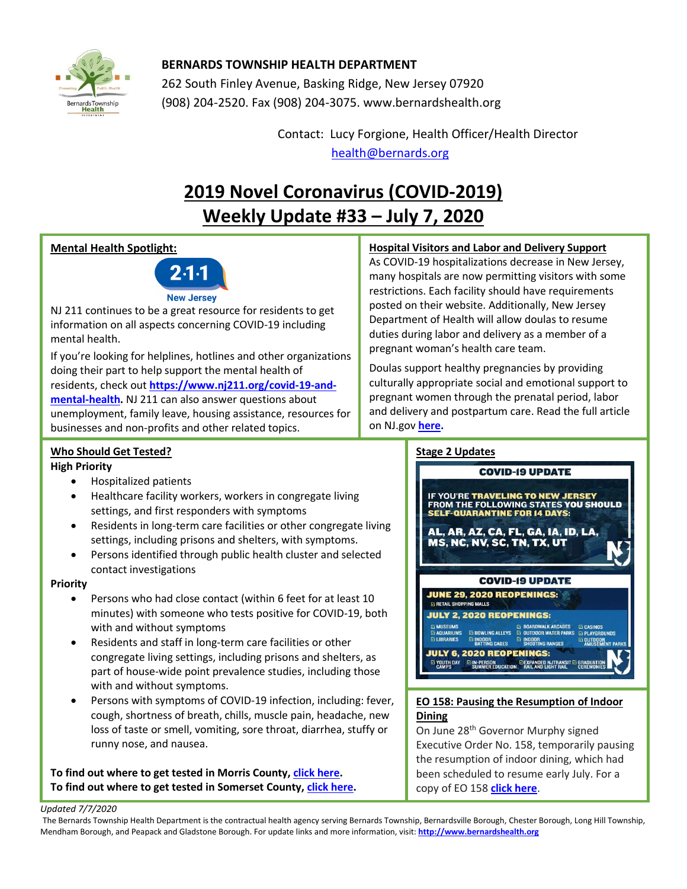

## **BERNARDS TOWNSHIP HEALTH DEPARTMENT**

262 South Finley Avenue, Basking Ridge, New Jersey 07920 (908) 204-2520. Fax (908) 204-3075[. www.bernardshealth.org](http://www.bernardshealth.org/)

> Contact: Lucy Forgione, Health Officer/Health Director [health@bernards.org](mailto:health@bernards.org)

## **2019 Novel Coronavirus (COVID-2019) Weekly Update #33 – July 7, 2020**

## **Mental Health Spotlight:**



NJ 211 continues to be a great resource for residents to get information on all aspects concerning COVID-19 including mental health.

If you're looking for helplines, hotlines and other organizations doing their part to help support the mental health of residents, check out **[https://www.nj211.org/covid-19-and](https://www.nj211.org/covid-19-and-mental-health)[mental-health.](https://www.nj211.org/covid-19-and-mental-health)** NJ 211 can also answer questions about unemployment, family leave, housing assistance, resources for businesses and non-profits and other related topics.

## **Hospital Visitors and Labor and Delivery Support**

As COVID-19 hospitalizations decrease in New Jersey, many hospitals are now permitting visitors with some restrictions. Each facility should have requirements posted on their website. Additionally, New Jersey Department of Health will allow doulas to resume duties during labor and delivery as a member of a pregnant woman's health care team.

Doulas support healthy pregnancies by providing culturally appropriate social and emotional support to pregnant women through the prenatal period, labor and delivery and postpartum care. Read the full article on NJ.gov **[here.](https://nj.gov/governor/news/news/562020/approved/20200629d.shtml#:~:text=TRENTON%20%E2%80%93%20Recognizing%20the%20role%20of,during%20the%20COVID%2D19%20pandemic.)** 

## **Who Should Get Tested?**

## **High Priority**

- Hospitalized patients
- Healthcare facility workers, workers in congregate living settings, and first responders with symptoms
- Residents in long-term care facilities or other congregate living settings, including prisons and shelters, with symptoms.
- Persons identified through public health cluster and selected contact investigations

### **Priority**

- Persons who had close contact (within 6 feet for at least 10 minutes) with someone who tests positive for COVID-19, both with and without symptoms
- Residents and staff in long-term care facilities or other congregate living settings, including prisons and shelters, as part of house-wide point prevalence studies, including those with and without symptoms.
- Persons with symptoms of COVID-19 infection, including: fever, cough, shortness of breath, chills, muscle pain, headache, new loss of taste or smell, vomiting, sore throat, diarrhea, stuffy or runny nose, and nausea.

**To find out where to get tested in Morris County[, click here.](http://www.bernardshealth.org/HDDocuments/HealthAlerts/2019-nCoV/Morris%20County%20COVID19%20Testing%20Sites.pdf) To find out where to get tested in Somerset County[, click here.](http://www.bernardshealth.org/HDDocuments/HealthAlerts/2019-nCoV/Somerset%20County%20COVID19%20Testing%20Sites.pdf)**

## **Stage 2 Updates**



## **EO 158: Pausing the Resumption of Indoor Dining**

On June 28th Governor Murphy signed Executive Order No. 158, temporarily pausing the resumption of indoor dining, which had been scheduled to resume early July. For a copy of EO 158 **[click here](https://nj.gov/infobank/eo/056murphy/pdf/EO-158.pdf)**.

#### *Updated 7/7/2020*

The Bernards Township Health Department is the contractual health agency serving Bernards Township, Bernardsville Borough, Chester Borough, Long Hill Township, Mendham Borough, and Peapack and Gladstone Borough. For update links and more information, visit: **[http://www.bernardshealth.org](http://www.bernardshealth.org/)**